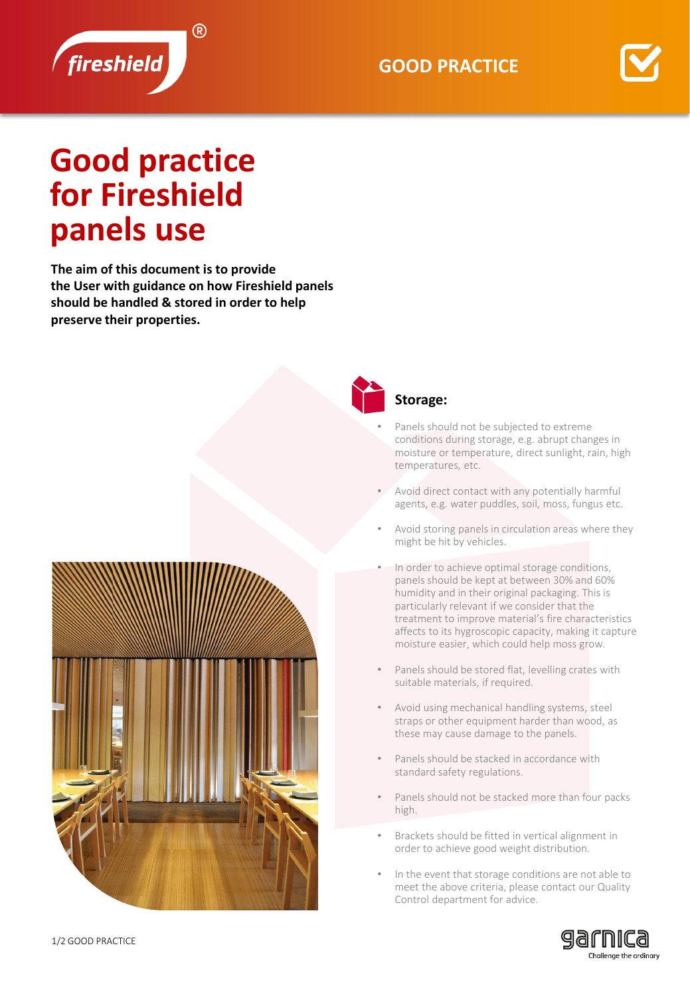



## **Good practice for Fireshield panels use**

**The aim of this document is to provide the User with guidance on how Fireshield panels should be handled & stored in order to help preserve their properties.**





## **Storage:**

- Panels should not be subjected to extreme conditions during storage, e.g. abrupt changes in moisture or temperature, direct sunlight, rain, high temperatures, etc.
- Avoid direct contact with any potentially harmful agents, e.g. water puddles, soil, moss, fungus etc.
- Avoid storing panels in circulation areas where they might be hit by vehicles.
- In order to achieve optimal storage conditions, panels should be kept at between 30% and 60% humidity and in their original packaging. This is particularly relevant if we consider that the treatment to improve material's fire characteristics affects to its hygroscopic capacity, making it capture moisture easier, which could help moss grow.
- Panels should be stored flat, levelling crates with suitable materials, if required.
- Avoid using mechanical handling systems, steel straps or other equipment harder than wood, as these may cause damage to the panels.
- Panels should be stacked in accordance with standard safety regulations.
- Panels should not be stacked more than four packs high.
- Brackets should be fitted in vertical alignment in order to achieve good weight distribution.
- In the event that storage conditions are not able to meet the above criteria, please contact our Quality Control department for advice.